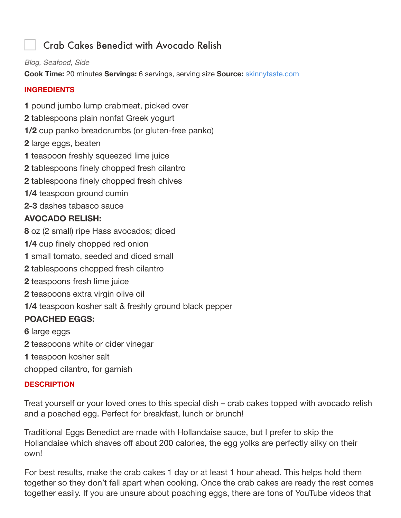# Crab Cakes Benedict with Avocado Relish

*Blog, Seafood, Side*

**Cook Time:** 20 minutes **Servings:** 6 servings, serving size **Source:** skinnytaste.com

#### **INGREDIENTS**

**1** pound jumbo lump crabmeat, picked over

- **2** tablespoons plain nonfat Greek yogurt
- **1/2** cup panko breadcrumbs (or gluten-free panko)
- **2** large eggs, beaten
- **1** teaspoon freshly squeezed lime juice
- **2** tablespoons finely chopped fresh cilantro
- **2** tablespoons finely chopped fresh chives
- **1/4** teaspoon ground cumin
- **2-3** dashes tabasco sauce

# **AVOCADO RELISH:**

- **8** oz (2 small) ripe Hass avocados; diced
- **1/4** cup finely chopped red onion
- **1** small tomato, seeded and diced small
- **2** tablespoons chopped fresh cilantro
- **2** teaspoons fresh lime juice
- **2** teaspoons extra virgin olive oil
- **1/4** teaspoon kosher salt & freshly ground black pepper

# **POACHED EGGS:**

**6** large eggs

- **2** teaspoons white or cider vinegar
- **1** teaspoon kosher salt

chopped cilantro, for garnish

#### **DESCRIPTION**

Treat yourself or your loved ones to this special dish – crab cakes topped with avocado relish and a poached egg. Perfect for breakfast, lunch or brunch!

Traditional Eggs Benedict are made with Hollandaise sauce, but I prefer to skip the Hollandaise which shaves off about 200 calories, the egg yolks are perfectly silky on their own!

For best results, make the crab cakes 1 day or at least 1 hour ahead. This helps hold them together so they don't fall apart when cooking. Once the crab cakes are ready the rest comes together easily. If you are unsure about poaching eggs, there are tons of YouTube videos that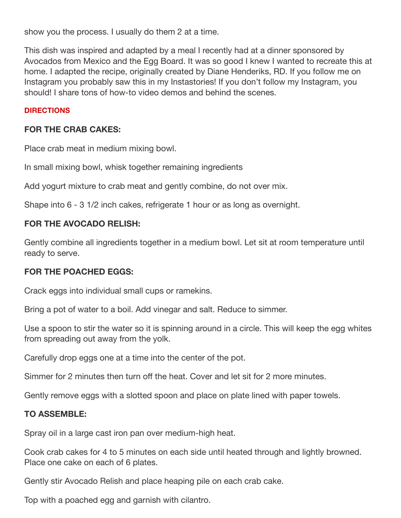show you the process. I usually do them 2 at a time.

This dish was inspired and adapted by a meal I recently had at a dinner sponsored by Avocados from Mexico and the Egg Board. It was so good I knew I wanted to recreate this at home. I adapted the recipe, originally created by Diane Henderiks, RD. If you follow me on Instagram you probably saw this in my Instastories! If you don't follow my Instagram, you should! I share tons of how-to video demos and behind the scenes.

#### **DIRECTIONS**

### **FOR THE CRAB CAKES:**

Place crab meat in medium mixing bowl.

In small mixing bowl, whisk together remaining ingredients

Add yogurt mixture to crab meat and gently combine, do not over mix.

Shape into 6 - 3 1/2 inch cakes, refrigerate 1 hour or as long as overnight.

## **FOR THE AVOCADO RELISH:**

Gently combine all ingredients together in a medium bowl. Let sit at room temperature until ready to serve.

#### **FOR THE POACHED EGGS:**

Crack eggs into individual small cups or ramekins.

Bring a pot of water to a boil. Add vinegar and salt. Reduce to simmer.

Use a spoon to stir the water so it is spinning around in a circle. This will keep the egg whites from spreading out away from the yolk.

Carefully drop eggs one at a time into the center of the pot.

Simmer for 2 minutes then turn off the heat. Cover and let sit for 2 more minutes.

Gently remove eggs with a slotted spoon and place on plate lined with paper towels.

#### **TO ASSEMBLE:**

Spray oil in a large cast iron pan over medium-high heat.

Cook crab cakes for 4 to 5 minutes on each side until heated through and lightly browned. Place one cake on each of 6 plates.

Gently stir Avocado Relish and place heaping pile on each crab cake.

Top with a poached egg and garnish with cilantro.